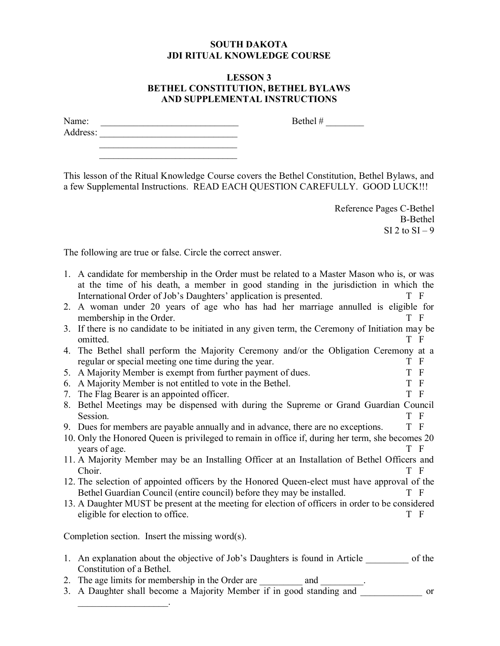## **SOUTH DAKOTA JDI RITUAL KNOWLEDGE COURSE**

## **LESSON 3 BETHEL CONSTITUTION, BETHEL BYLAWS AND SUPPLEMENTAL INSTRUCTIONS**

| Name:    |  |  |  |
|----------|--|--|--|
| Address: |  |  |  |
|          |  |  |  |

 $\mathcal{L}=\mathcal{L}=\mathcal{L}$  , where  $\mathcal{L}=\mathcal{L}=\mathcal{L}=\mathcal{L}$ 

This lesson of the Ritual Knowledge Course covers the Bethel Constitution, Bethel Bylaws, and a few Supplemental Instructions. READ EACH QUESTION CAREFULLY. GOOD LUCK!!!

> Reference Pages C-Bethel B-Bethel  $SI$  2 to  $SI - 9$

Bethel  $\#$ 

The following are true or false. Circle the correct answer.

|    | 1. A candidate for membership in the Order must be related to a Master Mason who is, or was                                                               |                |
|----|-----------------------------------------------------------------------------------------------------------------------------------------------------------|----------------|
|    | at the time of his death, a member in good standing in the jurisdiction in which the<br>International Order of Job's Daughters' application is presented. | T F            |
| 2. | A woman under 20 years of age who has had her marriage annulled is eligible for<br>membership in the Order.                                               | T F            |
|    | 3. If there is no candidate to be initiated in any given term, the Ceremony of Initiation may be<br>omitted.                                              | T F            |
|    | 4. The Bethel shall perform the Majority Ceremony and/or the Obligation Ceremony at a                                                                     |                |
|    | regular or special meeting one time during the year.                                                                                                      | T F            |
|    | 5. A Majority Member is exempt from further payment of dues.                                                                                              | T F            |
| 6. | A Majority Member is not entitled to vote in the Bethel.                                                                                                  | T F            |
| 7. | The Flag Bearer is an appointed officer.                                                                                                                  | T F            |
|    | 8. Bethel Meetings may be dispensed with during the Supreme or Grand Guardian Council                                                                     |                |
|    | Session.                                                                                                                                                  | T F            |
|    | 9. Dues for members are payable annually and in advance, there are no exceptions.                                                                         | T F            |
|    | 10. Only the Honored Queen is privileged to remain in office if, during her term, she becomes 20<br>years of age.                                         | T F            |
|    | 11. A Majority Member may be an Installing Officer at an Installation of Bethel Officers and                                                              |                |
|    | Choir.                                                                                                                                                    | T F            |
|    | 12. The selection of appointed officers by the Honored Queen-elect must have approval of the                                                              |                |
|    | Bethel Guardian Council (entire council) before they may be installed.                                                                                    | T F            |
|    | 13. A Daughter MUST be present at the meeting for election of officers in order to be considered                                                          |                |
|    | eligible for election to office.                                                                                                                          | T F            |
|    | Completion section. Insert the missing word $(s)$ .                                                                                                       |                |
|    | 1 An explanation about the objective of Job's Daughters is found in Article                                                                               | $\alpha$ f the |

- 1. An explanation about the objective of Job's Daughters is found in Article \_\_\_\_\_\_\_\_\_ of the Constitution of a Bethel.
- 2. The age limits for membership in the Order are \_\_\_\_\_\_\_\_\_\_\_ and \_\_\_\_\_\_\_\_\_\_\_\_\_\_
- 3. A Daughter shall become a Majority Member if in good standing and \_\_\_\_\_\_\_\_\_\_\_\_\_ or  $\mathcal{L}=\mathcal{L}^{\mathcal{L}}$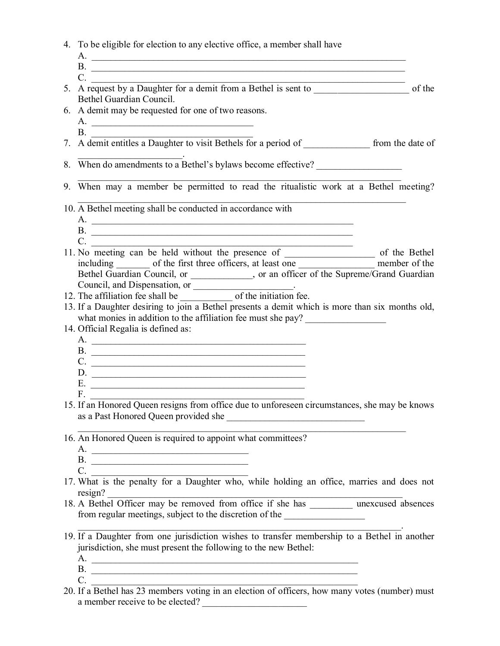| 4. To be eligible for election to any elective office, a member shall have |  |  |
|----------------------------------------------------------------------------|--|--|
|                                                                            |  |  |

- $A.$
- B.
- $C.$ 5. A request by a Daughter for a demit from a Bethel is sent to \_\_\_\_\_\_\_\_\_\_\_\_\_\_\_\_\_\_\_\_ of the Bethel Guardian Council.
- 6. A demit may be requested for one of two reasons.
	- A. \_\_\_\_\_\_\_\_\_\_\_\_\_\_\_\_\_\_\_\_\_\_\_\_\_\_\_\_\_\_\_\_\_\_  $B$ .
- 7. A demit entitles a Daughter to visit Bethels for a period of from the date of
- $\mathcal{L}=\{1,2,3,4,5\}$ 8. When do amendments to a Bethel's bylaws become effective?
- $\mathcal{L}_\text{max} = \mathcal{L}_\text{max} = \mathcal{L}_\text{max} = \mathcal{L}_\text{max} = \mathcal{L}_\text{max} = \mathcal{L}_\text{max} = \mathcal{L}_\text{max} = \mathcal{L}_\text{max} = \mathcal{L}_\text{max} = \mathcal{L}_\text{max} = \mathcal{L}_\text{max} = \mathcal{L}_\text{max} = \mathcal{L}_\text{max} = \mathcal{L}_\text{max} = \mathcal{L}_\text{max} = \mathcal{L}_\text{max} = \mathcal{L}_\text{max} = \mathcal{L}_\text{max} = \mathcal{$ 9. When may a member be permitted to read the ritualistic work at a Bethel meeting?

 $\mathcal{L}_\text{max}$  , and the contribution of the contribution of the contribution of the contribution of the contribution of the contribution of the contribution of the contribution of the contribution of the contribution of t 10. A Bethel meeting shall be conducted in accordance with

- A. \_\_\_\_\_\_\_\_\_\_\_\_\_\_\_\_\_\_\_\_\_\_\_\_\_\_\_\_\_\_\_\_\_\_\_\_\_\_\_\_\_\_\_\_\_\_\_\_\_\_\_\_\_\_\_
- B.
- $C.$ 11. No meeting can be held without the presence of \_\_\_\_\_\_\_\_\_\_\_\_\_\_\_\_\_\_\_ of the Bethel including of the first three officers, at least one member of the member of the Bethel Guardian Council, or \_\_\_\_\_\_\_\_\_\_, or an officer of the Supreme/Grand Guardian Council, and Dispensation, or
- 12. The affiliation fee shall be \_\_\_\_\_\_\_\_\_\_\_ of the initiation fee.
- 13. If a Daughter desiring to join a Bethel presents a demit which is more than six months old, what monies in addition to the affiliation fee must she pay?
- 14. Official Regalia is defined as:
	- A. B. \_\_\_\_\_\_\_\_\_\_\_\_\_\_\_\_\_\_\_\_\_\_\_\_\_\_\_\_\_\_\_\_\_\_\_\_\_\_\_\_\_\_\_\_\_
	- C. \_\_\_\_\_\_\_\_\_\_\_\_\_\_\_\_\_\_\_\_\_\_\_\_\_\_\_\_\_\_\_\_\_\_\_\_\_\_\_\_\_\_\_\_\_
	- D. \_\_\_\_\_\_\_\_\_\_\_\_\_\_\_\_\_\_\_\_\_\_\_\_\_\_\_\_\_\_\_\_\_\_\_\_\_\_\_\_\_\_\_\_\_
	- E.  $F_{\cdot}$
- 15. If an Honored Queen resigns from office due to unforeseen circumstances, she may be knows as a Past Honored Queen provided she
- $\mathcal{L}_\text{max} = \mathcal{L}_\text{max} = \mathcal{L}_\text{max} = \mathcal{L}_\text{max} = \mathcal{L}_\text{max} = \mathcal{L}_\text{max} = \mathcal{L}_\text{max} = \mathcal{L}_\text{max} = \mathcal{L}_\text{max} = \mathcal{L}_\text{max} = \mathcal{L}_\text{max} = \mathcal{L}_\text{max} = \mathcal{L}_\text{max} = \mathcal{L}_\text{max} = \mathcal{L}_\text{max} = \mathcal{L}_\text{max} = \mathcal{L}_\text{max} = \mathcal{L}_\text{max} = \mathcal{$ 16. An Honored Queen is required to appoint what committees?
	- A. \_\_\_\_\_\_\_\_\_\_\_\_\_\_\_\_\_\_\_\_\_\_\_\_\_\_\_\_\_\_\_\_\_
	- B.  $C.$
- 17. What is the penalty for a Daughter who, while holding an office, marries and does not resign?
- 18. A Bethel Officer may be removed from office if she has **unexcused** absences from regular meetings, subject to the discretion of the
- $\mathcal{L}_\text{max}$  and  $\mathcal{L}_\text{max}$  and  $\mathcal{L}_\text{max}$  and  $\mathcal{L}_\text{max}$  and  $\mathcal{L}_\text{max}$  and  $\mathcal{L}_\text{max}$ 19. If a Daughter from one jurisdiction wishes to transfer membership to a Bethel in another jurisdiction, she must present the following to the new Bethel:
	- A. \_\_\_\_\_\_\_\_\_\_\_\_\_\_\_\_\_\_\_\_\_\_\_\_\_\_\_\_\_\_\_\_\_\_\_\_\_\_\_\_\_\_\_\_\_\_\_\_\_\_\_\_\_\_\_\_
	- B. \_\_\_\_\_\_\_\_\_\_\_\_\_\_\_\_\_\_\_\_\_\_\_\_\_\_\_\_\_\_\_\_\_\_\_\_\_\_\_\_\_\_\_\_\_\_\_\_\_\_\_\_\_\_\_\_
- $C.$ 20. If a Bethel has 23 members voting in an election of officers, how many votes (number) must a member receive to be elected?